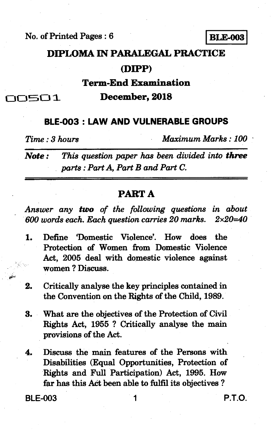**No. of Printed Pages : 6 I BLE-003 <sup>I</sup>**

# **DIPLOMA IN PARALEGAL PRACTICE**

#### **(DIPP)**

# **Term-End Examination CICLE December, 2018**

### **BLE-003 : LAW AND VULNERABLE GROUPS**

*Time : 3 hours Maximum Marks : 100* 

*Note : This question paper has been divided into three parts : Part A, Part B and Part C.* 

### **PART A**

*Answer any two of the following questions in about 600 words each. Each question carries 20 marks. 2x20=40* 

- **1. Define 'Domestic Violence'. How does the Protection of Women from Domestic Violence Act, 2005 deal with domestic violence against women ? Discuss.**
- **2. Critically analyse the key principles contained in the Convention on the Rights of the Child, 1989.**
- **3. What are the objectives of the Protection of Civil Rights Act, 1955 ? Critically analyse the main provisions of the Act.**
- **. Discuss the main features of the Persons with Disabilities (Equal Opportunities, Protection of Rights and Full Participation) Act, 1995. How far has this Act been able to fulfil its objectives ?**

**BLE-003 1 P.T.O.**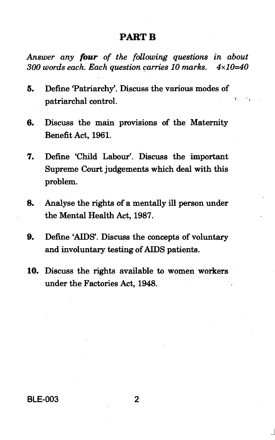### **PART B**

*Answer any four of the following questions in about 300 words each. Each question carries 10 marks. 4x10=40* 

- **5. Define 'Patriarchy'. Discuss the various modes of patriarchal control.**
- **6. Discuss the main provisions of the Maternity Benefit Act, 1961.**
- **7. Define 'Child Labour'. Discuss the important Supreme Court judgements which deal with this problem.**
- **8. Analyse the rights of a mentally ill person under the Mental Health Act, 1987.**
- **9. Define 'AIDS'. Discuss the concepts of voluntary and involuntary testing of AIDS patients.**
- **10. Discuss the rights available to women workers under the Factories Act, 1948.**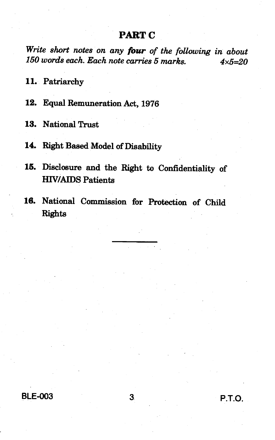### **PART C**

*Write short notes on any four of the following in about 150 words each. Each note carries 5 marks. 4x5=20* 

**11. Patriarchy** 

**12. Equal Remuneration Act, 1976** 

**13. National Trust** 

**14. Right Based Model of Disability** 

- **15. Disclosure and the Right to Confidentiality of HIV/AIDS Patients**
- **16. National Commission for Protection of Child Rights**

**BLE-003 3 P.T.O.**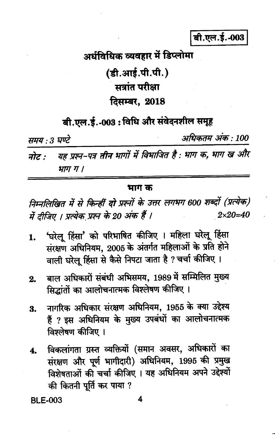बी.एल.ई.-003

# अर्धविधिक व्यवहार में डिप्लोमा

(डी.आई.पी.पी.) सत्रांत परीक्षा दिसम्बर, 2018

## बी.एल.ई.-003 : विधि और संवेदनशील समूह

समय: 3 घण्टे

अधिकतम अंक : 100

यह प्रश्न-पत्र तीन भागों में विभाजित है : भाग क, भाग ख और नोट : भाग ग ।

#### भाग क

निम्नलिखित में से किन्हीं दो प्रश्नों के उत्तर लगभग 600 शब्दों (प्रत्येक) में दीजिए । प्रत्येक प्रश्न के 20 अंक हैं ।  $2 \times 20 = 40$ 

- 'घरेलू हिंसा' को परिभाषित कीजिए । महिला घरेलू हिंसा  $\mathbf{1}$ . संरक्षण अधिनियम, 2005 के अंतर्गत महिलाओं के प्रति होने वाली घरेलू हिंसा से कैसे निपटा जाता है ? चर्चा कीजिए ।
- बाल अधिकारों संबंधी अभिसमय, 1989 में सम्मिलित मुख्य  $2.$ सिद्धांतों का आलोचनात्मक विश्लेषण कीजिए।
- नागरिक अधिकार संरक्षण अधिनियम, 1955 के क्या उद्देश्य 3. हैं ? इस अधिनियम के मुख्य उपबंधों का आलोचनात्मक विश्लेषण कीजिए ।
- विकलांगता ग्रस्त व्यक्तियों (समान अवसर, अधिकारों का  $\mathbf{4}$ संरक्षण और पूर्ण भागीदारी) अधिनियम, 1995 की प्रमुख विशेषताओं की चर्चा कीजिए । यह अधिनियम अपने उद्देश्यों की कितनी पूर्ति कर पाया ?

**BLE-003**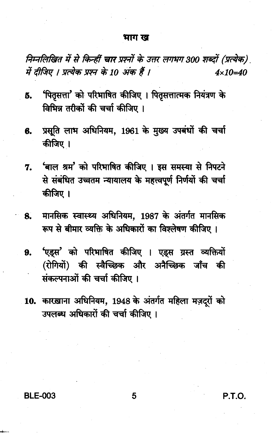#### भाग ख

निम्नलिखित में से किन्हीं चार प्रश्नों के उत्तर लगभग 300 शब्दों (प्रत्येक) में दीजिए । प्रत्येक प्रश्न के 10 अंक हैं ।  $4 \times 10 = 40$ 

- 'पितृसत्ता' को परिभाषित कीजिए । पितृसत्तात्मक नियंत्रण के 5. विभिन्न तरीकों की चर्चा कीजिए ।
- प्रसृति लाभ अधिनियम, 1961 के मुख्य उपबंधों की चर्चा 6. कीजिए ।
- 7. 'बाल श्रम' को परिभाषित कीजिए । इस समस्या से निपटने से संबंधित उच्चतम न्यायालय के महत्त्वपूर्ण निर्णयों की चर्चा कीजिए ।
- 8. मानसिक स्वास्थ्य अधिनियम. 1987 के अंतर्गत मानसिक रूप से बीमार व्यक्ति के अधिकारों का विश्लेषण कीजिए ।
- र्'एडस' को परिभाषित कीजिए । एडस ग्रस्त व्यक्तियों  $9.$ (रोगियों) की स्वैच्छिक और अनैच्छिक जाँच की संकल्पनाओं की चर्चा कीजिए ।
- 10. कारख़ाना अधिनियम, 1948 के अंतर्गत महिला मज़दरों को उपलब्ध अधिकारों की चर्चा कीजिए।

**BLE-003** 

P.T.O.